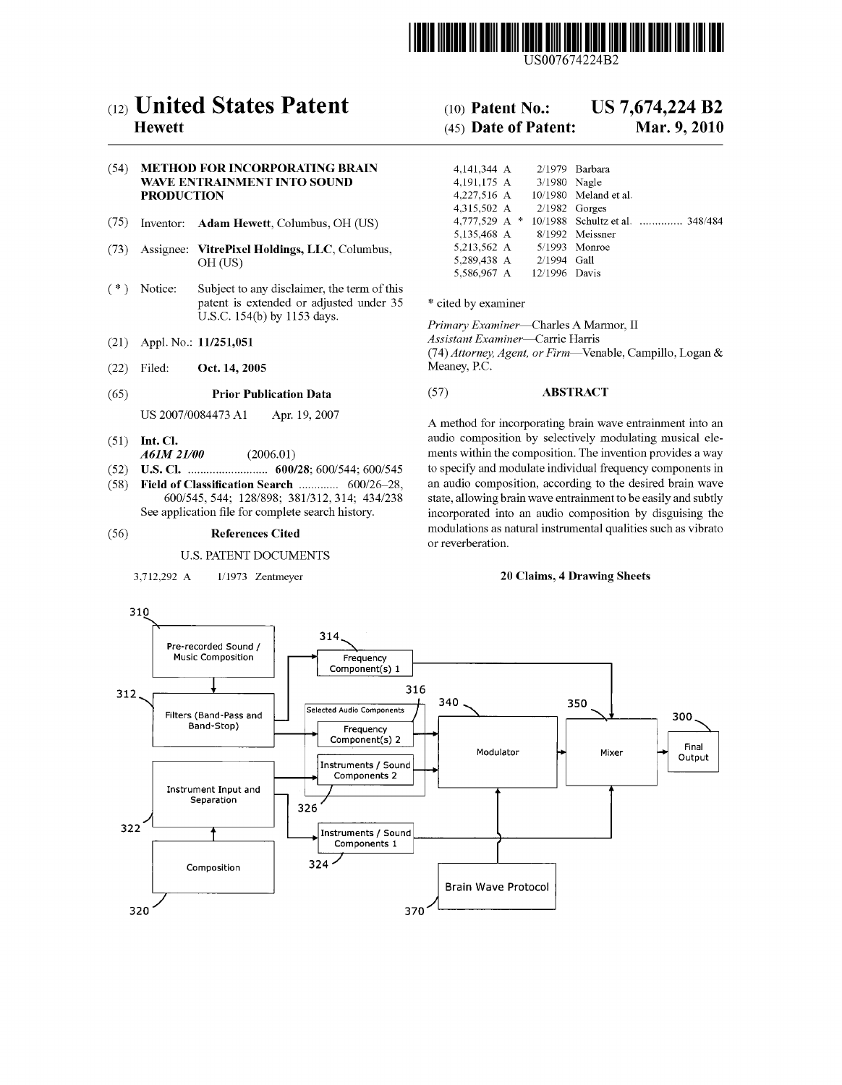

USOO7674224B2

# (12) United States Patent

# **Hewett**

# (54) METHOD FOR INCORPORATING BRAIN WAVE ENTRAINMENT INTO SOUND PRODUCTION

- (75) Inventor: Adam Hewett, Columbus, OH (US)
- (73) Assignee: VitrePixel Holdings, LLC, Columbus, OH (US)
- (\*) Notice: Subject to any disclaimer, the term of this patent is extended or adjusted under 35 U.S.C. 154(b) by 1153 days.
- (21) Appl. No.: 11/251,051
- (22) Filed: Oct. 14, 2005

## (65) Prior Publication Data

US 2007/OO84473 A1 Apr. 19, 2007

- $(51)$  Int. Cl. A6M 2L/00 (2006.01)
- U.S. Cl. .......................... 600/28: 600/544; 600/545 (52)
- Field of Classification Search .............. 600/26-28, 600/545, 544; 128/898; 381/312,314; 434/238 See application file for complete search history. (58)

#### (56) References Cited

#### U.S. PATENT DOCUMENTS

3,712.292 A 1/1973 Zentmeyer

#### US 7.674.224 B2 (10) Patent No.:

#### Mar. 9, 2010 (45) Date of Patent:

| 4.141.344 A     |                 | $2/1979$ Barbara                |
|-----------------|-----------------|---------------------------------|
| 4,191,175 A     | 3/1980 Nagle    |                                 |
| 4,227,516 A     |                 | 10/1980 Meland et al.           |
| 4.315.502 A     | $2/1982$ Gorges |                                 |
| 4,777,529 A $*$ |                 | 10/1988 Schultz et al.  348/484 |
| 5,135,468 A     |                 | 8/1992 Meissner                 |
| 5,213,562 A     |                 | $5/1993$ Monroe                 |
| 5.289.438 A     | $2/1994$ Gall   |                                 |
| 5.586.967 A     | 12/1996 Davis   |                                 |

\* cited by examiner

Primary Examiner-Charles A Marmor, II Assistant Examiner-Carrie Harris (74) Attorney, Agent, or Firm-Venable, Campillo, Logan & Meaney, P.C.

# (57) ABSTRACT

A method for incorporating brain wave entrainment into an audio composition by selectively modulating musical ele ments within the composition. The invention provides a way to specify and modulate individual frequency components in an audio composition, according to the desired brain wave state, allowing brain wave entrainment to be easily and subtly incorporated into an audio composition by disguising the modulations as natural instrumental qualities Such as vibrato or reverberation.

## 20 Claims, 4 Drawing Sheets

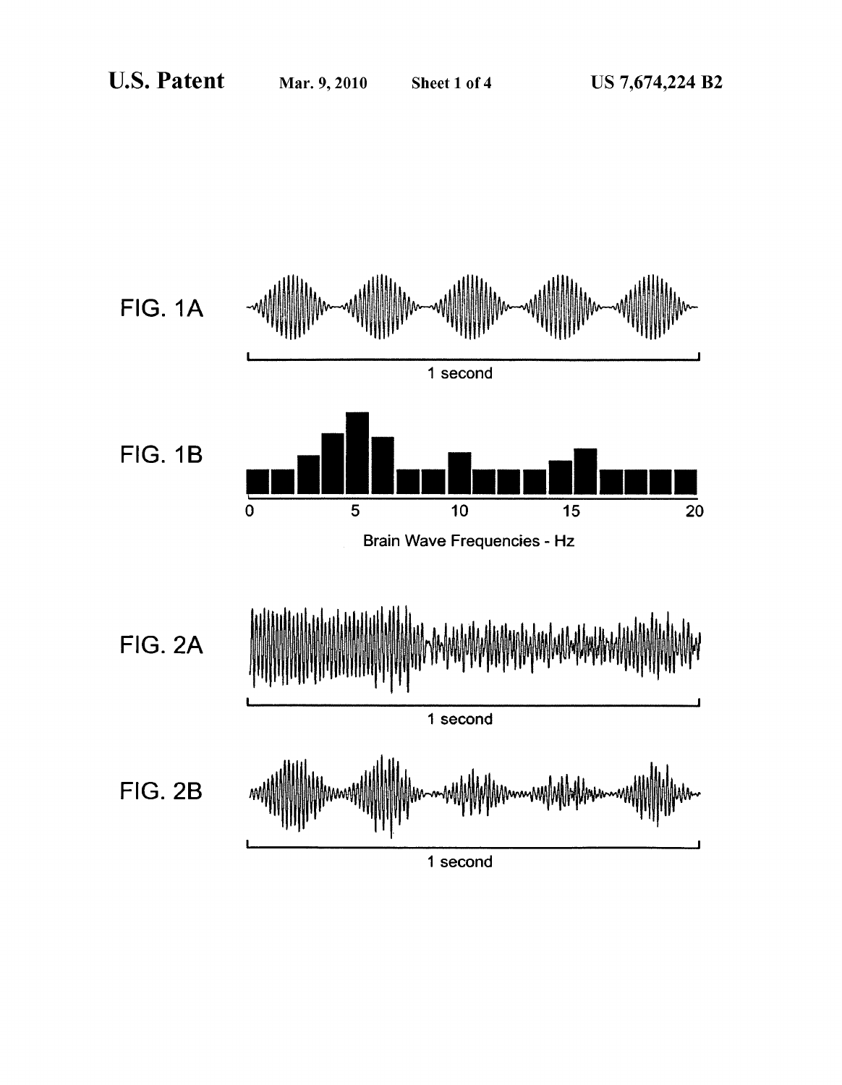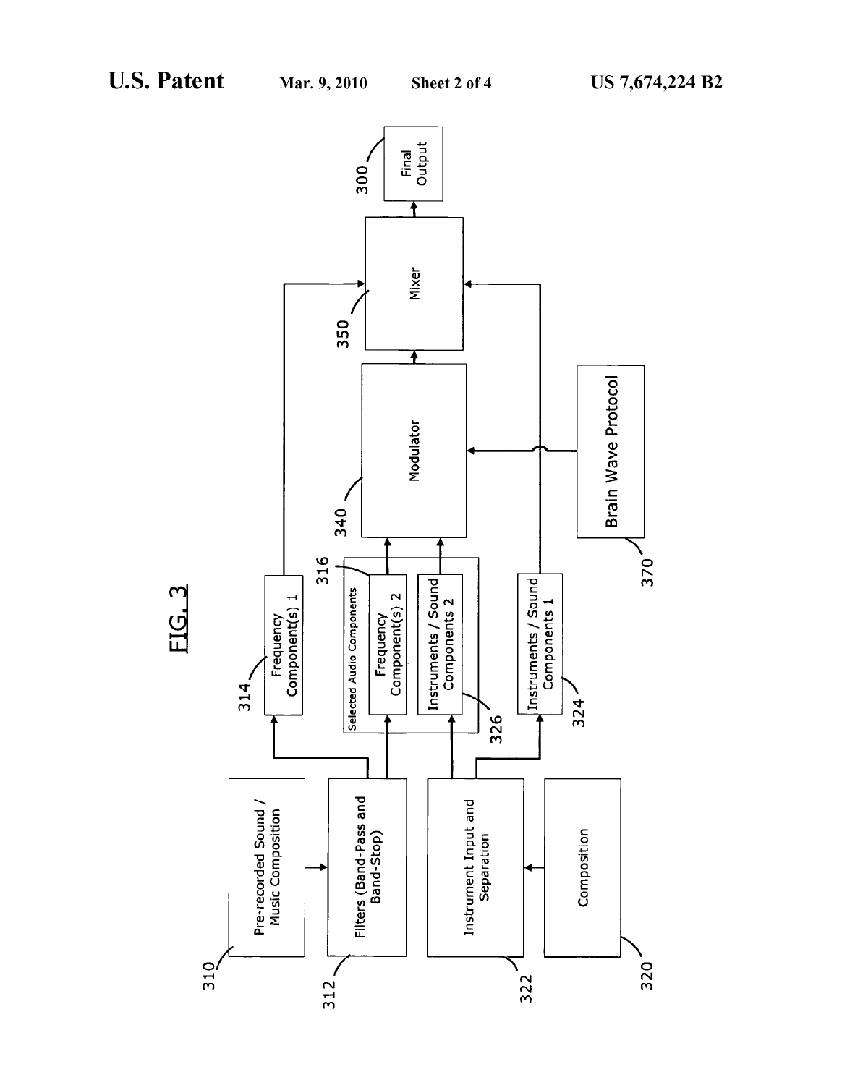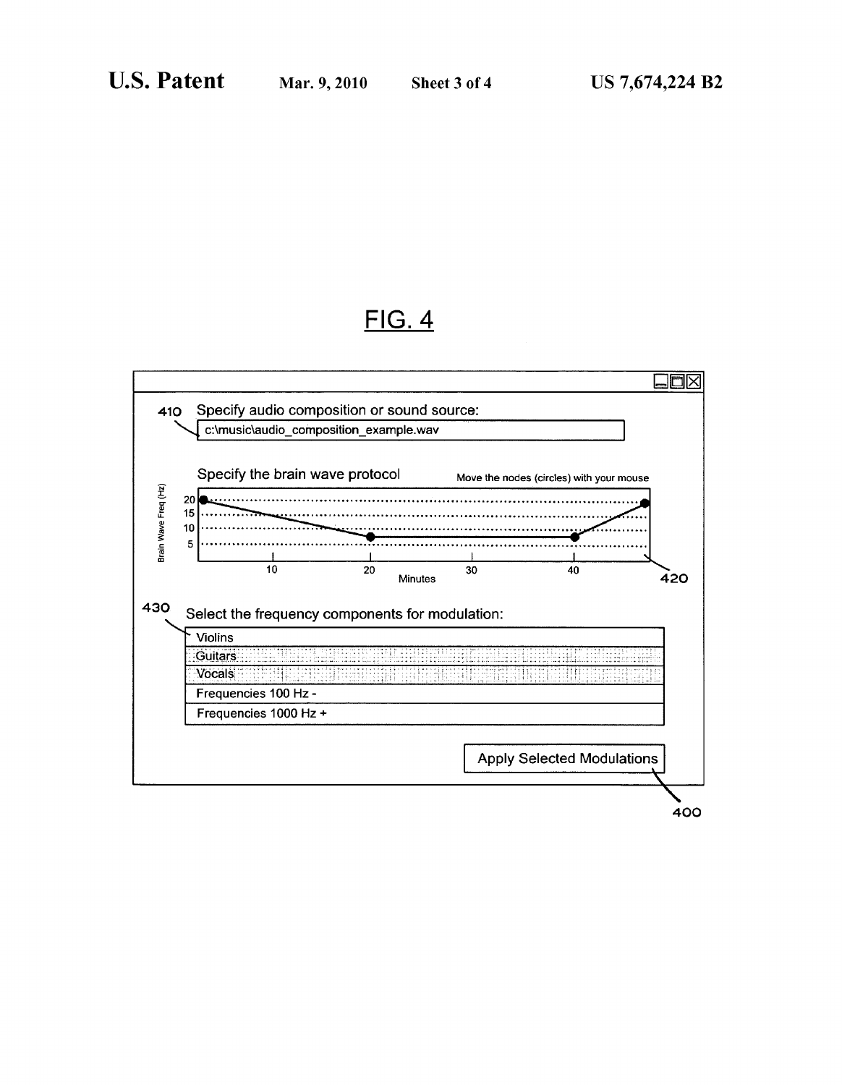# FIG. 4

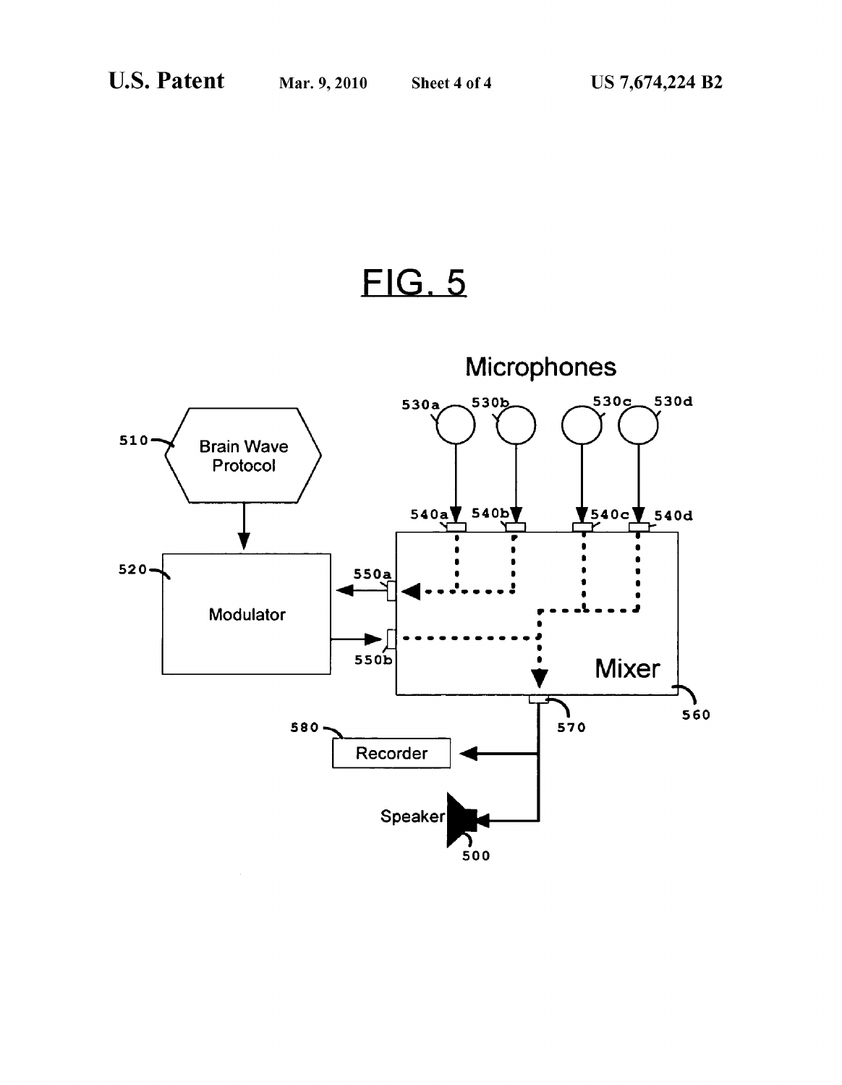FIG. 5

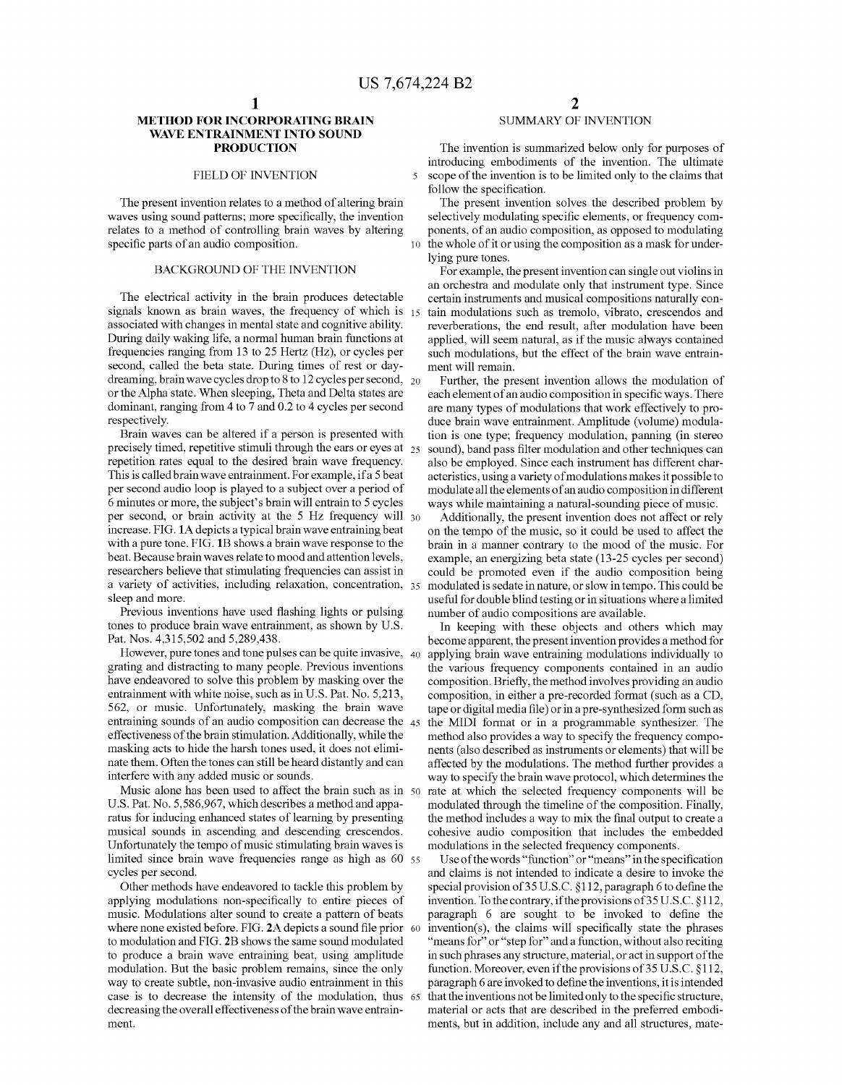10

 $\overline{\mathbf{S}}$ 

# METHOD FOR INCORPORATING BRAIN WAVE ENTRAINMENT INTO SOUND PRODUCTION

# FIELD OF INVENTION

The present invention relates to a method of altering brain waves using sound patterns; more specifically, the invention relates to a method of controlling brain waves by altering specific parts of an audio composition.

# BACKGROUND OF THE INVENTION

The electrical activity in the brain produces detectable signals known as brain waves, the frequency of which is 15 associated with changes in mental state and cognitive ability. During daily waking life, a normal human brain functions at frequencies ranging from 13 to 25 Hertz (Hz), or cycles per second, called the beta state. During times of rest or daydreaming, brain wave cycles drop to 8 to 12 cycles per second,  $_{20}$ or the Alpha state. When sleeping, Theta and Delta states are dominant, ranging from 4 to 7 and 0.2 to 4 cycles per second respectively.

Brain waves can be altered if a person is presented with precisely timed, repetitive stimuli through the ears or eyes at  $z_5$ repetition rates equal to the desired brain wave frequency. This is called brainwave entrainment. For example, ifa 5 beat per second audio loop is played to a subject over a period of 6 minutes or more, the subject's brain will entrain to 5 cycles per second, or brain activity at the 5 Hz frequency will 30 increase. FIG. 1A depicts a typical brain wave entraining beat with a pure tone. FIG. 1B shows a brain wave response to the beat. Because brainwaves relate to mood and attention levels, researchers believe that stimulating frequencies can assist in a variety of activities, including relaxation, concentration, 35 sleep and more.

Previous inventions have used flashing lights or pulsing tones to produce brain wave entrainment, as shown by U.S. Pat. Nos. 4,315,502 and 5,289,438.

However, pure tones and tone pulses can be quite invasive, 40 grating and distracting to many people. Previous inventions have endeavored to solve this problem by masking over the entrainment with white noise, such as in U.S. Pat. No. 5,213, 562, or music. Unfortunately, masking the brain wave entraining sounds of an audio composition can decrease the 45 effectiveness of the brain stimulation. Additionally, while the masking acts to hide the harsh tones used, it does not elimi nate them. Often the tones can still be heard distantly and can interfere with any added music or sounds.

Music alone has been used to affect the brain such as in 50 U.S. Pat. No. 5,586,967, which describes a method and appa ratus for inducing enhanced states of learning by presenting musical sounds in ascending and descending crescendos. Unfortunately the tempo of music stimulating brain waves is limited since brain wave frequencies range as high as 60 55 cycles per second.

Other methods have endeavored to tackle this problem by applying modulations non-specifically to entire pieces of music. Modulations alter sound to create a pattern of beats where none existed before. FIG. 2A depicts a sound file prior 60 to modulation and FIG. 2B shows the same sound modulated to produce a brain wave entraining beat, using amplitude modulation. But the basic problem remains, since the only way to create subtle, non-invasive audio entrainment in this case is to decrease the intensity of the modulation, thus 65 decreasing the overall effectiveness of the brain wave entrainment.

# SUMMARY OF INVENTION

The invention is summarized below only for purposes of introducing embodiments of the invention. The ultimate scope of the invention is to be limited only to the claims that follow the specification.<br>The present invention solves the described problem by

selectively modulating specific elements, or frequency components, of an audio composition, as opposed to modulating the whole of it or using the composition as a mask for under lying pure tones.

For example, the present invention can single out violins in an orchestra and modulate only that instrument type. Since certain instruments and musical compositions naturally con tain modulations such as tremolo, vibrato, crescendos and reverberations, the end result, after modulation have been applied, will seem natural, as if the music always contained such modulations, but the effect of the brain wave entrain ment will remain.

Further, the present invention allows the modulation of each element of an audio composition in specific ways. There are many types of modulations that work effectively to pro duce brain wave entrainment. Amplitude (volume) modula tion is one type; frequency modulation, panning (in stereo sound), band pass filter modulation and other techniques can also be employed. Since each instrument has different char acteristics, using a variety of modulations makes it possible to modulate all the elements of an audio composition in different ways while maintaining a natural-sounding piece of music.

Additionally, the present invention does not affect or rely on the tempo of the music, so it could be used to affect the brain in a manner contrary to the mood of the music. For example, an energizing beta state (13-25 cycles per second) could be promoted even if the audio composition being modulated is sedate in nature, or slow in tempo. This could be useful for double blind testing or in situations where a limited number of audio compositions are available.

In keeping with these objects and others which may become apparent, the present invention provides a method for applying brain wave entraining modulations individually to the various frequency components contained in an audio composition. Briefly, the method involves providing an audio composition, in either a pre-recorded format (such as a CD, tape or digital media file) or in a pre-synthesized form Such as the MIDI format or in a programmable synthesizer. The method also provides a way to specify the frequency compo nents (also described as instruments or elements) that will be affected by the modulations. The method further provides a way to specify the brain wave protocol, which determines the rate at which the selected frequency components will be modulated through the timeline of the composition. Finally, the method includes a way to mix the final output to create a cohesive audio composition that includes the embedded modulations in the selected frequency components.

Use of the words "function" or "means' in the specification and claims is not intended to indicate a desire to invoke the special provision of 35 U.S.C. S112, paragraph 6 to define the invention. To the contrary, if the provisions of  $35 U.S.C.$   $§112$ , paragraph 6 are sought to be invoked to define the invention(s), the claims will specifically state the phrases "means for" or "step for" and a function, without also reciting in such phrases any structure, material, or act in support of the function. Moreover, even if the provisions of  $35$  U.S.C.  $§112$ , paragraph 6 are invoked to define the inventions, it is intended that the inventions not be limited only to the specific structure, material or acts that are described in the preferred embodi ments, but in addition, include any and all structures, mate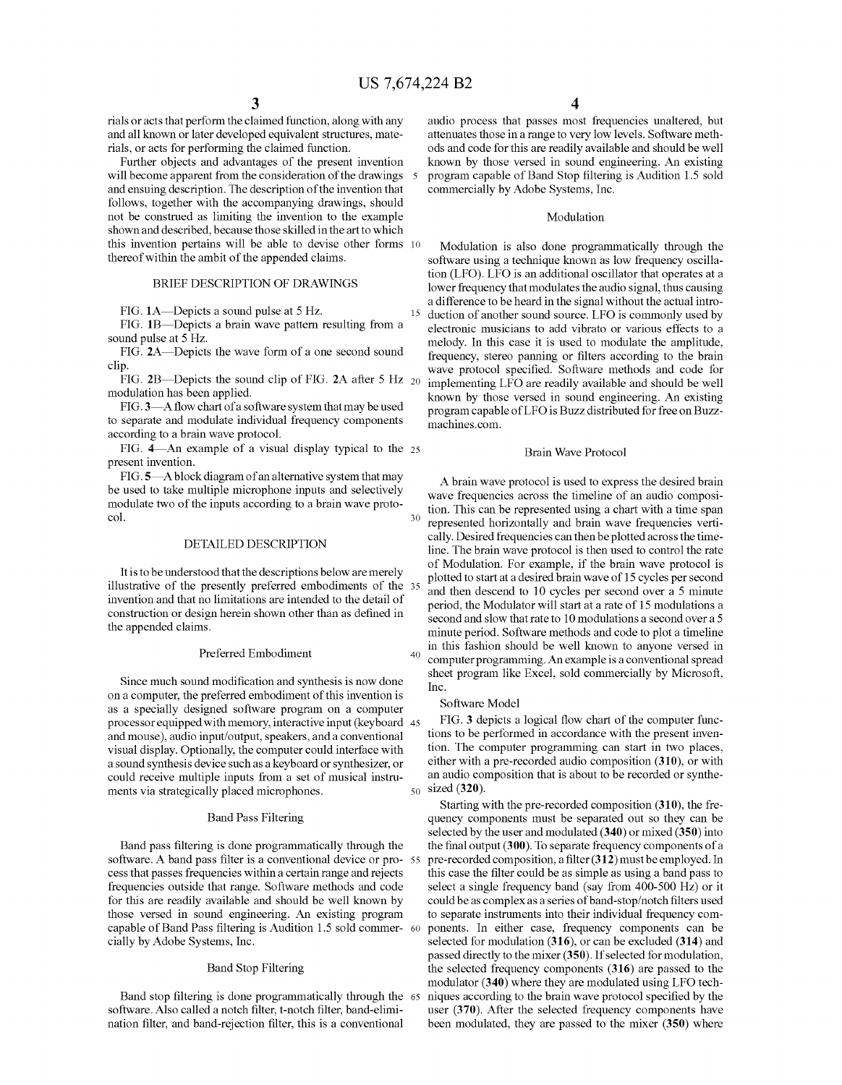$\mathcal{L}_{\mathcal{L}}$ 

15

40

rials or acts that perform the claimed function, along with any and all known or later developed equivalent structures, mate rials, or acts for performing the claimed function.

Further objects and advantages of the present invention will become apparent from the consideration of the drawings and ensuing description. The description of the invention that follows, together with the accompanying drawings, should not be construed as limiting the invention to the example shown and described, because those skilled in the art to which this invention pertains will be able to devise other forms 10 thereof within the ambit of the appended claims.

# BRIEF DESCRIPTION OF DRAWINGS

FIG. 1A-Depicts a sound pulse at 5 Hz.

FIG. 1B-Depicts a brain wave pattern resulting from a sound pulse at 5 Hz.

FIG. 2A—Depicts the wave form of a one second sound clip.

FIG. 2B—Depicts the sound clip of FIG. 2A after 5 Hz  $_{20}$ modulation has been applied.

FIG.3—A flow chart of a software system that may be used to separate and modulate individual frequency components according to a brain wave protocol.

FIG.  $4$ —An example of a visual display typical to the  $25$ present invention.

FIG.5—Ablock diagram of an alternative system that may be used to take multiple microphone inputs and selectively modulate two of the inputs according to a brain wave proto col.

# DETAILED DESCRIPTION

It is to be understood that the descriptions below are merely illustrative of the presently preferred embodiments of the 35 invention and that no limitations are intended to the detail of construction or design herein shown other than as defined in the appended claims.

#### Preferred Embodiment

Since much Sound modification and synthesis is now done on a computer, the preferred embodiment of this invention is as a specially designed software program on a computer processor equipped with memory, interactive input (keyboard 45 and mouse), audio input/output, speakers, and a conventional visual display. Optionally, the computer could interface with a sound synthesis device Such as a keyboard or synthesizer, or could receive multiple inputs from a set of musical instru ments via strategically placed microphones. 50

#### Band Pass Filtering

Band pass filtering is done programmatically through the software. A band pass filter is a conventional device or pro- 55 cess that passes frequencies within a certain range and rejects frequencies outside that range. Software methods and code those versed in sound engineering. An existing program capable of Band Pass filtering is Audition 1.5 sold commer 60 cially by Adobe Systems, Inc.

## Band Stop Filtering

Band stop filtering is done programmatically through the 65 software. Also called a notch filter, t-notch filter, band-elimi nation filter, and band-rejection filter, this is a conventional

audio process that passes most frequencies unaltered, but attenuates those in a range to very low levels. Software meth ods and code for this are readily available and should be well known by those versed in Sound engineering. An existing program capable of Band Stop filtering is Audition 1.5 sold commercially by Adobe Systems, Inc.

# Modulation

Modulation is also done programmatically through the software using a technique known as low frequency oscillation (LFO). LFO is an additional oscillator that operates at a lower frequency that modulates the audio signal, thus causing a difference to be heard in the signal without the actual intro duction of another sound source. LFO is commonly used by electronic musicians to add vibrato or various effects to a melody. In this case it is used to modulate the amplitude, frequency, stereo panning or filters according to the brain wave protocol specified. Software methods and code for implementing LFO are readily available and should be well known by those versed in Sound engineering. An existing program capable of LFO is Buzz distributed for free on Buzz machines.com.

# Brain Wave Protocol

30 A brain wave protocol is used to express the desired brain wave frequencies across the timeline of an audio composi tion. This can be represented using a chart with a time span represented horizontally and brain wave frequencies verti cally. Desired frequencies can then be plotted across the time line. The brain wave protocol is then used to control the rate of Modulation. For example, if the brain wave protocol is plotted to start at a desired brain wave of 15 cycles per second and then descend to 10 cycles per second over a 5 minute period, the Modulator will start at a rate of 15 modulations a second and slow that rate to 10 modulations a second over a 5 minute period. Software methods and code to plot a timeline in this fashion should be well known to anyone versed in computer programming. An example is a conventional spread sheet program like Excel, sold commercially by Microsoft, Inc.

#### Software Model

FIG. 3 depicts a logical flow chart of the computer func tions to be performed in accordance with the present inven tion. The computer programming can start in two places, either with a pre-recorded audio composition (310), or with an audio composition that is about to be recorded or synthe sized (320).

Starting with the pre-recorded composition (310), the fre quency components must be separated out so they can be selected by the user and modulated (340) or mixed (350) into the final output (300). To separate frequency components of a pre-recorded composition, a filter (312) must be employed. In this case the filter could be as simple as using a band pass to select a single frequency band (say from 400-500 Hz) or it could be as complex as a series of band-stop/notch filters used to separate instruments into their individual frequency com ponents. In either case, frequency components can be selected for modulation (316), or can be excluded (314) and passed directly to the mixer (350). If selected for modulation, the selected frequency components (316) are passed to the modulator (340) where they are modulated using LFO tech niques according to the brain wave protocol specified by the user (370). After the selected frequency components have been modulated, they are passed to the mixer (350) where